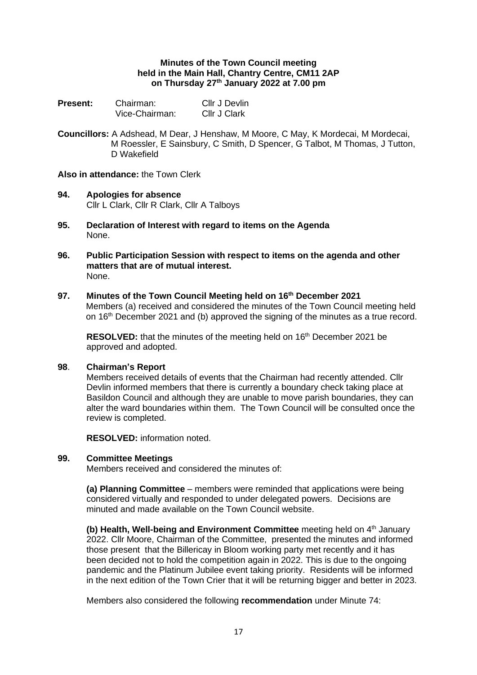### **Minutes of the Town Council meeting held in the Main Hall, Chantry Centre, CM11 2AP on Thursday 27th January 2022 at 7.00 pm**

| <b>Present:</b> | Chairman:      | Cllr J Devlin |
|-----------------|----------------|---------------|
|                 | Vice-Chairman: | Cllr J Clark  |

**Councillors:** A Adshead, M Dear, J Henshaw, M Moore, C May, K Mordecai, M Mordecai, M Roessler, E Sainsbury, C Smith, D Spencer, G Talbot, M Thomas, J Tutton, D Wakefield

# **Also in attendance:** the Town Clerk

- **94. Apologies for absence** Cllr L Clark, Cllr R Clark, Cllr A Talboys
- **95. Declaration of Interest with regard to items on the Agenda** None.
- **96. Public Participation Session with respect to items on the agenda and other matters that are of mutual interest.** None.

## **97. Minutes of the Town Council Meeting held on 16 th December 2021**

Members (a) received and considered the minutes of the Town Council meeting held on 16<sup>th</sup> December 2021 and (b) approved the signing of the minutes as a true record.

RESOLVED: that the minutes of the meeting held on 16<sup>th</sup> December 2021 be approved and adopted.

#### **98**. **Chairman's Report**

Members received details of events that the Chairman had recently attended. Cllr Devlin informed members that there is currently a boundary check taking place at Basildon Council and although they are unable to move parish boundaries, they can alter the ward boundaries within them. The Town Council will be consulted once the review is completed.

**RESOLVED:** information noted.

#### **99. Committee Meetings**

Members received and considered the minutes of:

**(a) Planning Committee** – members were reminded that applications were being considered virtually and responded to under delegated powers. Decisions are minuted and made available on the Town Council website.

**(b)** Health, Well-being and Environment Committee meeting held on 4<sup>th</sup> January 2022. Cllr Moore, Chairman of the Committee, presented the minutes and informed those present that the Billericay in Bloom working party met recently and it has been decided not to hold the competition again in 2022. This is due to the ongoing pandemic and the Platinum Jubilee event taking priority. Residents will be informed in the next edition of the Town Crier that it will be returning bigger and better in 2023.

Members also considered the following **recommendation** under Minute 74: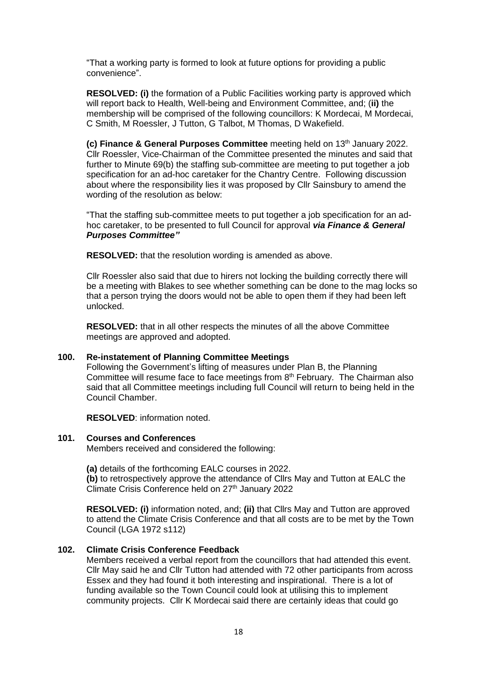"That a working party is formed to look at future options for providing a public convenience".

**RESOLVED: (i)** the formation of a Public Facilities working party is approved which will report back to Health, Well-being and Environment Committee, and; (**ii)** the membership will be comprised of the following councillors: K Mordecai, M Mordecai, C Smith, M Roessler, J Tutton, G Talbot, M Thomas, D Wakefield.

**(c) Finance & General Purposes Committee** meeting held on 13<sup>th</sup> January 2022. Cllr Roessler, Vice-Chairman of the Committee presented the minutes and said that further to Minute 69(b) the staffing sub-committee are meeting to put together a job specification for an ad-hoc caretaker for the Chantry Centre. Following discussion about where the responsibility lies it was proposed by Cllr Sainsbury to amend the wording of the resolution as below:

"That the staffing sub-committee meets to put together a job specification for an adhoc caretaker, to be presented to full Council for approval *via Finance & General Purposes Committee"*

**RESOLVED:** that the resolution wording is amended as above.

Cllr Roessler also said that due to hirers not locking the building correctly there will be a meeting with Blakes to see whether something can be done to the mag locks so that a person trying the doors would not be able to open them if they had been left unlocked.

**RESOLVED:** that in all other respects the minutes of all the above Committee meetings are approved and adopted.

## **100. Re-instatement of Planning Committee Meetings**

Following the Government's lifting of measures under Plan B, the Planning Committee will resume face to face meetings from  $8<sup>th</sup>$  February. The Chairman also said that all Committee meetings including full Council will return to being held in the Council Chamber.

**RESOLVED**: information noted.

#### **101. Courses and Conferences**

Members received and considered the following:

**(a)** details of the forthcoming EALC courses in 2022. **(b)** to retrospectively approve the attendance of Cllrs May and Tutton at EALC the Climate Crisis Conference held on 27<sup>th</sup> January 2022

**RESOLVED: (i)** information noted, and; **(ii)** that Cllrs May and Tutton are approved to attend the Climate Crisis Conference and that all costs are to be met by the Town Council (LGA 1972 s112)

## **102. Climate Crisis Conference Feedback**

Members received a verbal report from the councillors that had attended this event. Cllr May said he and Cllr Tutton had attended with 72 other participants from across Essex and they had found it both interesting and inspirational. There is a lot of funding available so the Town Council could look at utilising this to implement community projects. Cllr K Mordecai said there are certainly ideas that could go